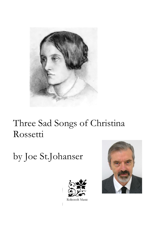

## Three Sad Songs of Christina Rossetti

by Joe St.Johanser